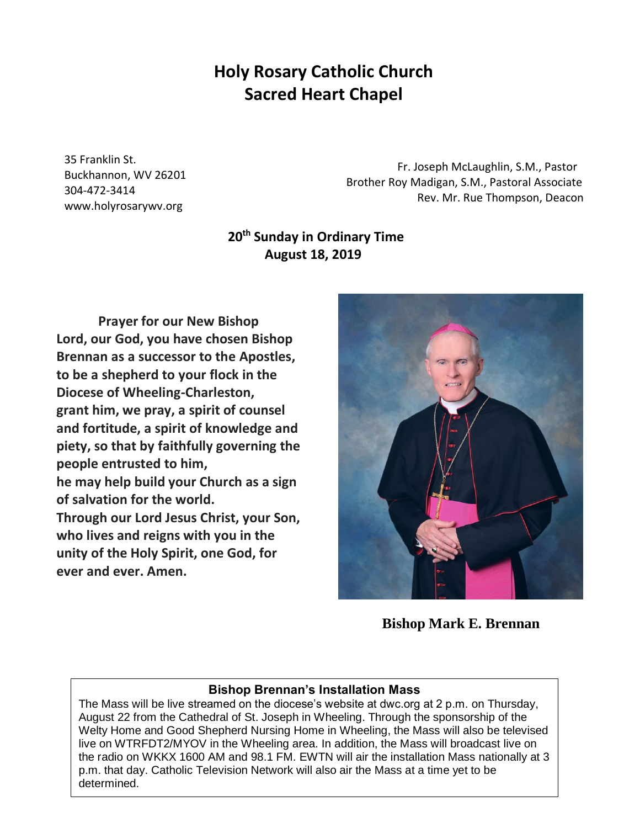# **Holy Rosary Catholic Church Sacred Heart Chapel**

35 Franklin St. Buckhannon, WV 26201 304-472-3414 www.holyrosarywv.org

 Fr. Joseph McLaughlin, S.M., Pastor Brother Roy Madigan, S.M., Pastoral Associate Rev. Mr. Rue Thompson, Deacon

# **20th Sunday in Ordinary Time August 18, 2019**

**Prayer for our New Bishop Lord, our God, you have chosen Bishop Brennan as a successor to the Apostles, to be a shepherd to your flock in the Diocese of Wheeling-Charleston, grant him, we pray, a spirit of counsel and fortitude, a spirit of knowledge and piety, so that by faithfully governing the people entrusted to him, he may help build your Church as a sign of salvation for the world. Through our Lord Jesus Christ, your Son, who lives and reigns with you in the unity of the Holy Spirit, one God, for ever and ever. Amen.**



**Bishop Mark E. Brennan**

# **Bishop Brennan's Installation Mass**

The Mass will be live streamed on the diocese's website at dwc.org at 2 p.m. on Thursday, August 22 from the Cathedral of St. Joseph in Wheeling. Through the sponsorship of the Welty Home and Good Shepherd Nursing Home in Wheeling, the Mass will also be televised live on WTRFDT2/MYOV in the Wheeling area. In addition, the Mass will broadcast live on the radio on WKKX 1600 AM and 98.1 FM. EWTN will air the installation Mass nationally at 3 p.m. that day. Catholic Television Network will also air the Mass at a time yet to be determined.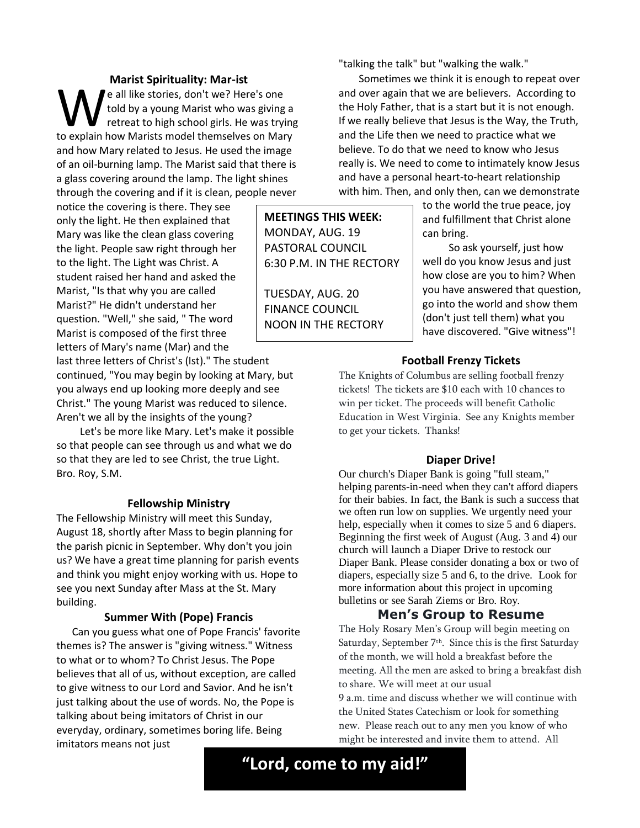**Marist Spirituality: Mar-ist** e all like stories, don't we? Here's one told by a young Marist who was giving a retreat to high school girls. He was trying We all like stories, don't we? Here's one<br>told by a young Marist who was giving a<br>retreat to high school girls. He was trying<br>to explain how Marists model themselves on Mary and how Mary related to Jesus. He used the image of an oil-burning lamp. The Marist said that there is a glass covering around the lamp. The light shines through the covering and if it is clean, people never

notice the covering is there. They see only the light. He then explained that Mary was like the clean glass covering the light. People saw right through her to the light. The Light was Christ. A student raised her hand and asked the Marist, "Is that why you are called Marist?" He didn't understand her question. "Well," she said, " The word Marist is composed of the first three letters of Mary's name (Mar) and the

last three letters of Christ's (Ist)." The student continued, "You may begin by looking at Mary, but you always end up looking more deeply and see Christ." The young Marist was reduced to silence. Aren't we all by the insights of the young?

Let's be more like Mary. Let's make it possible so that people can see through us and what we do so that they are led to see Christ, the true Light. Bro. Roy, S.M.

#### **Fellowship Ministry**

The Fellowship Ministry will meet this Sunday, August 18, shortly after Mass to begin planning for the parish picnic in September. Why don't you join us? We have a great time planning for parish events and think you might enjoy working with us. Hope to see you next Sunday after Mass at the St. Mary building.

#### **Summer With (Pope) Francis**

Can you guess what one of Pope Francis' favorite themes is? The answer is "giving witness." Witness to what or to whom? To Christ Jesus. The Pope believes that all of us, without exception, are called to give witness to our Lord and Savior. And he isn't just talking about the use of words. No, the Pope is talking about being imitators of Christ in our everyday, ordinary, sometimes boring life. Being imitators means not just

"talking the talk" but "walking the walk."

Sometimes we think it is enough to repeat over and over again that we are believers. According to the Holy Father, that is a start but it is not enough. If we really believe that Jesus is the Way, the Truth, and the Life then we need to practice what we believe. To do that we need to know who Jesus really is. We need to come to intimately know Jesus and have a personal heart-to-heart relationship with him. Then, and only then, can we demonstrate

**MEETINGS THIS WEEK:** MONDAY, AUG. 19 PASTORAL COUNCIL 6:30 P.M. IN THE RECTORY

TUESDAY, AUG. 20 FINANCE COUNCIL NOON IN THE RECTORY to the world the true peace, joy and fulfillment that Christ alone can bring.

So ask yourself, just how well do you know Jesus and just how close are you to him? When you have answered that question, go into the world and show them (don't just tell them) what you have discovered. "Give witness"!

#### **Football Frenzy Tickets**

The Knights of Columbus are selling football frenzy tickets! The tickets are \$10 each with 10 chances to win per ticket. The proceeds will benefit Catholic Education in West Virginia. See any Knights member to get your tickets. Thanks!

#### **Diaper Drive!**

Our church's Diaper Bank is going "full steam," helping parents-in-need when they can't afford diapers for their babies. In fact, the Bank is such a success that we often run low on supplies. We urgently need your help, especially when it comes to size 5 and 6 diapers. Beginning the first week of August (Aug. 3 and 4) our church will launch a Diaper Drive to restock our Diaper Bank. Please consider donating a box or two of diapers, especially size 5 and 6, to the drive. Look for more information about this project in upcoming bulletins or see Sarah Ziems or Bro. Roy.

### **Men's Group to Resume**

The Holy Rosary Men's Group will begin meeting on Saturday, September 7<sup>th</sup>. Since this is the first Saturday of the month, we will hold a breakfast before the meeting. All the men are asked to bring a breakfast dish to share. We will meet at our usual

9 a.m. time and discuss whether we will continue with the United States Catechism or look for something new. Please reach out to any men you know of who might be interested and invite them to attend. All

**"Lord, come to my aid!"**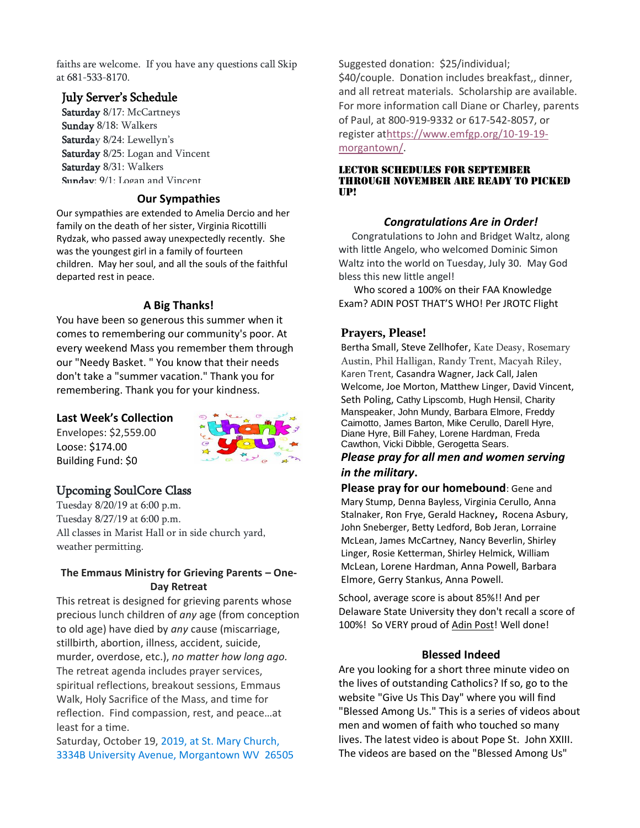faiths are welcome. If you have any questions call Skip at 681-533-8170.

# July Server's Schedule

Saturday 8/17: McCartneys Sunday 8/18: Walkers Saturday 8/24: Lewellyn's Saturday 8/25: Logan and Vincent Saturday 8/31: Walkers Sunday:  $9/1$ : Logan and Vincent

#### **Our Sympathies**

Our sympathies are extended to Amelia Dercio and her family on the death of her sister, Virginia Ricottilli Rydzak, who passed away unexpectedly recently. She was the youngest girl in a family of fourteen children. May her soul, and all the souls of the faithful departed rest in peace.

#### **A Big Thanks!**

You have been so generous this summer when it comes to remembering our community's poor. At every weekend Mass you remember them through our "Needy Basket. " You know that their needs don't take a "summer vacation." Thank you for remembering. Thank you for your kindness.

#### **Last Week's Collection**

Envelopes: \$2,559.00 Loose: \$174.00 Building Fund: \$0



# Upcoming SoulCore Class

Tuesday 8/20/19 at 6:00 p.m. Tuesday 8/27/19 at 6:00 p.m. All classes in Marist Hall or in side church yard, weather permitting.

#### **The Emmaus Ministry for Grieving Parents – One-Day Retreat**

This retreat is designed for grieving parents whose precious lunch children of *any* age (from conception to old age) have died by *any* cause (miscarriage, stillbirth, abortion, illness, accident, suicide, murder, overdose, etc.), *no matter how long ago.* The retreat agenda includes prayer services, spiritual reflections, breakout sessions, Emmaus Walk, Holy Sacrifice of the Mass, and time for reflection. Find compassion, rest, and peace…at least for a time.

Saturday, October 19, 2019, at St. Mary Church, 3334B University Avenue, Morgantown WV 26505 Suggested donation: \$25/individual; \$40/couple. Donation includes breakfast,, dinner, and all retreat materials. Scholarship are available. For more information call Diane or Charley, parents of Paul, at 800-919-9332 or 617-542-8057, or register a[thttps://www.emfgp.org/10-19-19](https://www.emfgp.org/10-19-19-morgantown/) [morgantown/.](https://www.emfgp.org/10-19-19-morgantown/)

#### Lector schedules for September through November are ready to picked up!

#### *Congratulations Are in Order!*

 Congratulations to John and Bridget Waltz, along with little Angelo, who welcomed Dominic Simon Waltz into the world on Tuesday, July 30. May God bless this new little angel!

 Who scored a 100% on their FAA Knowledge Exam? ADIN POST THAT'S WHO! Per JROTC Flight

## **Prayers, Please!**

Bertha Small, Steve Zellhofer, Kate Deasy, Rosemary Austin, Phil Halligan, Randy Trent, Macyah Riley, Karen Trent, Casandra Wagner, Jack Call, Jalen Welcome, Joe Morton, Matthew Linger, David Vincent, Seth Poling, Cathy Lipscomb, Hugh Hensil, Charity Manspeaker, John Mundy, Barbara Elmore, Freddy Caimotto, James Barton, Mike Cerullo, Darell Hyre, Diane Hyre, Bill Fahey, Lorene Hardman, Freda Cawthon, Vicki Dibble, Gerogetta Sears.

### *Please pray for all men and women serving in the military***.**

**Please pray for our homebound**: Gene and Mary Stump, Denna Bayless, Virginia Cerullo, Anna Stalnaker, Ron Frye, Gerald Hackney**,** Rocena Asbury, John Sneberger, Betty Ledford, Bob Jeran, Lorraine McLean, James McCartney, Nancy Beverlin, Shirley Linger, Rosie Ketterman, Shirley Helmick, William McLean, Lorene Hardman, Anna Powell, Barbara Elmore, Gerry Stankus, Anna Powell.

School, average score is about 85%!! And per Delaware State University they don't recall a score of 100%! So VERY proud of [Adin Post!](https://www.facebook.com/adin.post?__tn__=%2CdK-R-R&eid=ARCcPNT-218wm2VztSwQkxWr43t2uml8JRD47sXiRlN3kHhwx0_d20BY5PsTE2Khm0E1OtV-2GpQh1no&fref=mentions) Well done!

#### **Blessed Indeed**

Are you looking for a short three minute video on the lives of outstanding Catholics? If so, go to the website "Give Us This Day" where you will find "Blessed Among Us." This is a series of videos about men and women of faith who touched so many lives. The latest video is about Pope St. John XXIII. The videos are based on the "Blessed Among Us"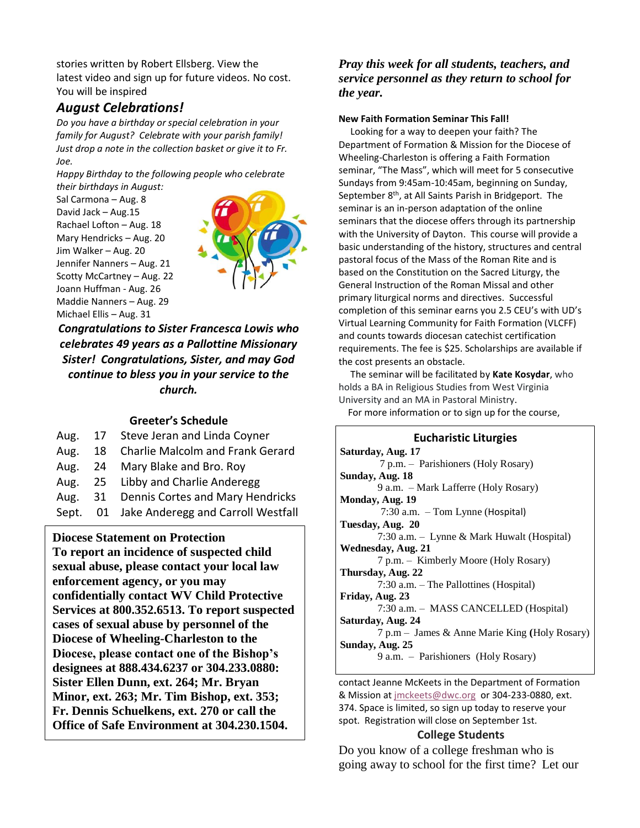stories written by Robert Ellsberg. View the latest video and sign up for future videos. No cost. You will be inspired

# *August Celebrations!*

*Do you have a birthday or special celebration in your family for August? Celebrate with your parish family! Just drop a note in the collection basket or give it to Fr. Joe.* 

*Happy Birthday to the following people who celebrate their birthdays in August:*

Sal Carmona – Aug. 8 David Jack – Aug.15 Rachael Lofton – Aug. 18 Mary Hendricks – Aug. 20 Jim Walker – Aug. 20 Jennifer Nanners – Aug. 21 Scotty McCartney – Aug. 22 Joann Huffman - Aug. 26 Maddie Nanners – Aug. 29 Michael Ellis – Aug. 31



*Congratulations to Sister Francesca Lowis who celebrates 49 years as a Pallottine Missionary Sister! Congratulations, Sister, and may God continue to bless you in your service to the church.*

#### **Greeter's Schedule**

|  | Aug. 17 Steve Jeran and Linda Coyner               |
|--|----------------------------------------------------|
|  | Aug. 18 Charlie Malcolm and Frank Gerard           |
|  | $\overline{a}$ as $\overline{a}$ in $\overline{b}$ |

- Aug. 24 Mary Blake and Bro. Roy
- Aug. 25 Libby and Charlie Anderegg
- Aug. 31 Dennis Cortes and Mary Hendricks
- Sept. 01 Jake Anderegg and Carroll Westfall

**Diocese Statement on Protection**

 **To report an incidence of suspected child sexual abuse, please contact your local law enforcement agency, or you may confidentially contact WV Child Protective Services at 800.352.6513. To report suspected cases of sexual abuse by personnel of the Diocese of Wheeling-Charleston to the Diocese, please contact one of the Bishop's designees at 888.434.6237 or 304.233.0880: Sister Ellen Dunn, ext. 264; Mr. Bryan Minor, ext. 263; Mr. Tim Bishop, ext. 353; Fr. Dennis Schuelkens, ext. 270 or call the Office of Safe Environment at 304.230.1504.**

### *Pray this week for all students, teachers, and service personnel as they return to school for the year.*

#### **New Faith Formation Seminar This Fall!**

 Looking for a way to deepen your faith? The Department of Formation & Mission for the Diocese of Wheeling-Charleston is offering a Faith Formation seminar, "The Mass", which will meet for 5 consecutive Sundays from 9:45am-10:45am, beginning on Sunday, September 8<sup>th</sup>, at All Saints Parish in Bridgeport. The seminar is an in-person adaptation of the online seminars that the diocese offers through its partnership with the University of Dayton. This course will provide a basic understanding of the history, structures and central pastoral focus of the Mass of the Roman Rite and is based on the Constitution on the Sacred Liturgy, the General Instruction of the Roman Missal and other primary liturgical norms and directives. Successful completion of this seminar earns you 2.5 CEU's with UD's Virtual Learning Community for Faith Formation (VLCFF) and counts towards diocesan catechist certification requirements. The fee is \$25. Scholarships are available if the cost presents an obstacle.

 The seminar will be facilitated by **Kate Kosydar**, who holds a BA in Religious Studies from West Virginia University and an MA in Pastoral Ministry.

For more information or to sign up for the course,

### **Eucharistic Liturgies**

**Saturday, Aug. 17** 7 p.m. – Parishioners (Holy Rosary) **Sunday, Aug. 18** 9 a.m. – Mark Lafferre (Holy Rosary) **Monday, Aug. 19** 7:30 a.m. – Tom Lynne (Hospital) **Tuesday, Aug. 20** 7:30 a.m. – Lynne & Mark Huwalt (Hospital) **Wednesday, Aug. 21** 7 p.m. – Kimberly Moore (Holy Rosary) **Thursday, Aug. 22** 7:30 a.m. – The Pallottines (Hospital) **Friday, Aug. 23** 7:30 a.m. – MASS CANCELLED (Hospital) **Saturday, Aug. 24** 7 p.m – James & Anne Marie King **(**Holy Rosary) **Sunday, Aug. 25** 9 a.m. – Parishioners (Holy Rosary)

contact Jeanne McKeets in the Department of Formation & Mission at [jmckeets@dwc.org](mailto:jmckeets@dwc.org) or 304-233-0880, ext. 374. Space is limited, so sign up today to reserve your spot. Registration will close on September 1st.

#### **College Students**

Do you know of a college freshman who is going away to school for the first time? Let our